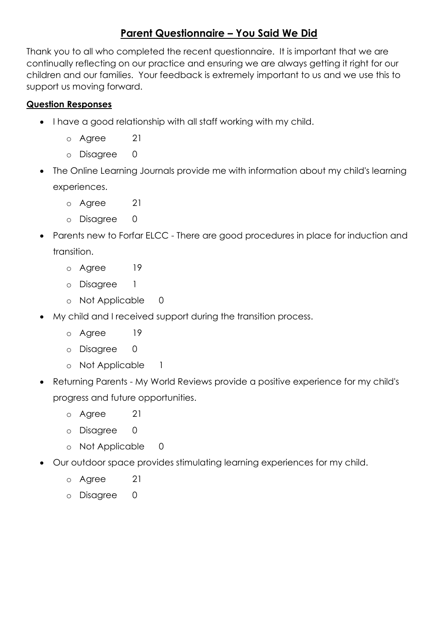## **Parent Questionnaire – You Said We Did**

Thank you to all who completed the recent questionnaire. It is important that we are continually reflecting on our practice and ensuring we are always getting it right for our children and our families. Your feedback is extremely important to us and we use this to support us moving forward.

## **Question Responses**

- I have a good relationship with all staff working with my child.
	- o Agree 21
	- o Disagree 0
- The Online Learning Journals provide me with information about my child's learning experiences.
	- o Agree 21
	- o Disagree 0
- Parents new to Forfar ELCC There are good procedures in place for induction and transition.
	- o Agree 19
	- o Disagree 1
	- o Not Applicable 0
- My child and I received support during the transition process.
	- o Agree 19
	- o Disagree 0
	- o Not Applicable 1
- Returning Parents My World Reviews provide a positive experience for my child's progress and future opportunities.
	- o Agree 21
	- o Disagree 0
	- o Not Applicable 0
- Our outdoor space provides stimulating learning experiences for my child.
	- o Agree 21
	- o Disagree 0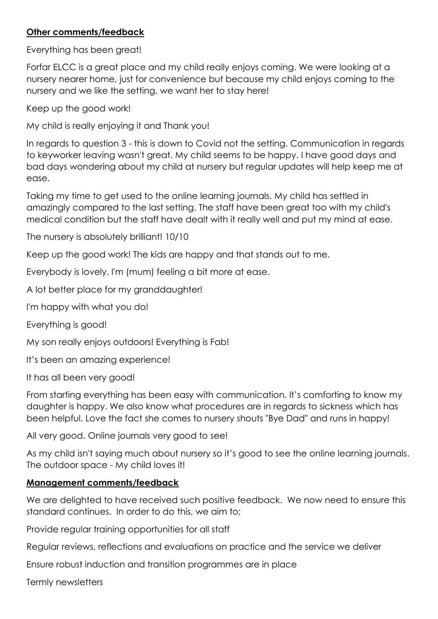## **Other comments/feedback**

Everything has been great!

Forfar ELCC is a great place and my child really enjoys coming. We were looking at a nursery nearer home, just for convenience but because my child enjoys coming to the nursery and we like the setting, we want her to stay here!

Keep up the good work!

My child is really enjoying it and Thank you!

In regards to question 3 - this is down to Covid not the setting. Communication in regards to keyworker leaving wasn't great. My child seems to be happy. I have good days and bad days wondering about my child at nursery but regular updates will help keep me at ease.

Taking my time to get used to the online learning journals. My child has settled in amazingly compared to the last setting. The staff have been great too with my child's medical condition but the staff have dealt with it really well and put my mind at ease.

The nursery is absolutely brilliant! 10/10

Keep up the good work! The kids are happy and that stands out to me.

Everybody is lovely. I'm (mum) feeling a bit more at ease.

A lot better place for my granddaughter!

I'm happy with what you do!

Everything is good!

My son really enjoys outdoors! Everything is Fab!

It's been an amazing experience!

It has all been very good!

From starting everything has been easy with communication. It's comforting to know my daughter is happy. We also know what procedures are in regards to sickness which has been helpful. Love the fact she comes to nursery shouts "Bye Dad" and runs in happy!

All very good. Online journals very good to see!

As my child isn't saying much about nursery so it's good to see the online learning journals. The outdoor space - My child loves it!

## **Management comments/feedback**

We are delighted to have received such positive feedback. We now need to ensure this standard continues. In order to do this, we aim to;

Provide regular training opportunities for all staff

Regular reviews, reflections and evaluations on practice and the service we deliver

Ensure robust induction and transition programmes are in place

Termly newsletters